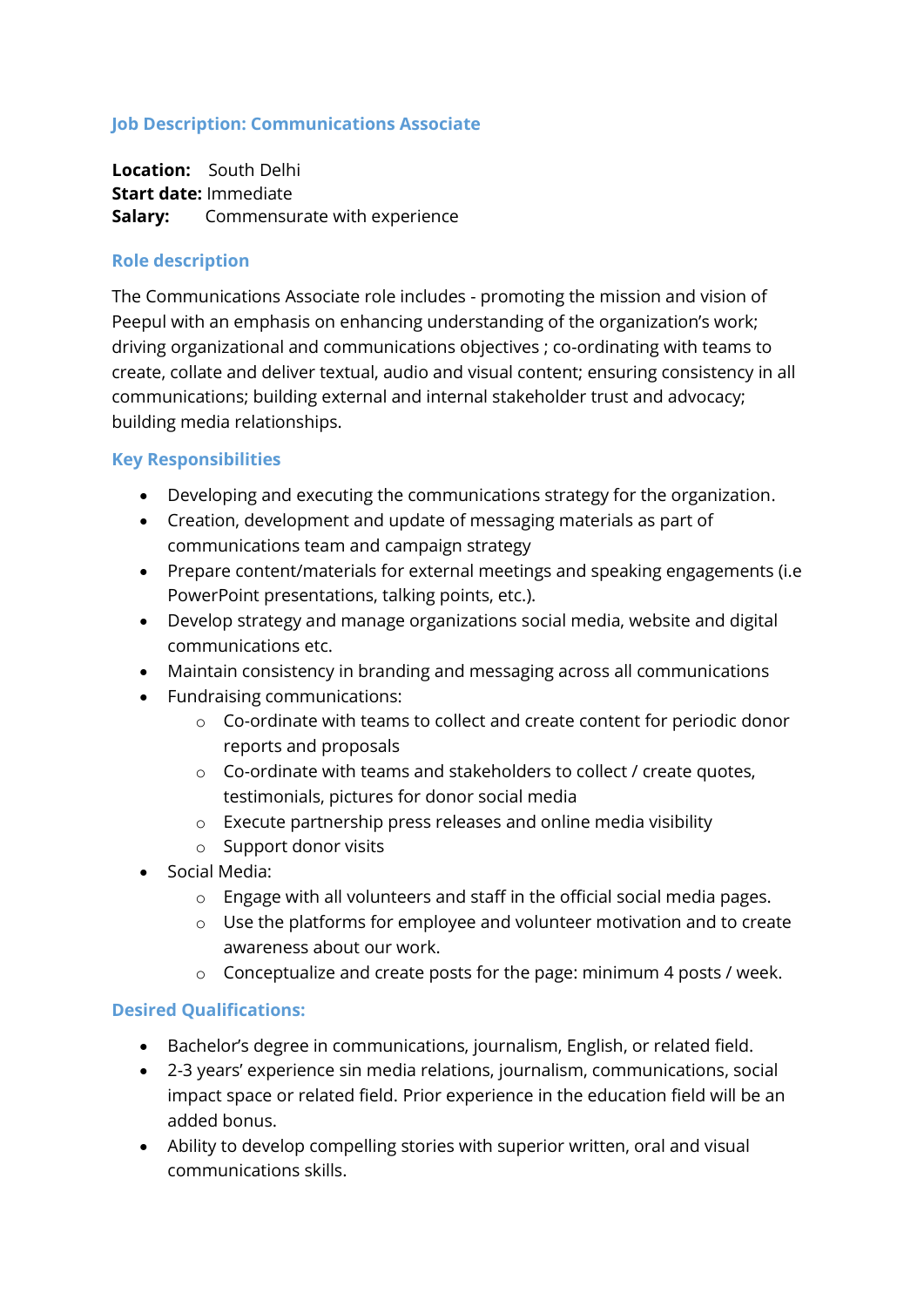## **Job Description: Communications Associate**

 **Location:** South Delhi  **Start date:** Immediate **Salary:** Commensurate with experience

## **Role description**

The Communications Associate role includes - promoting the mission and vision of Peepul with an emphasis on enhancing understanding of the organization's work; driving organizational and communications objectives ; co-ordinating with teams to create, collate and deliver textual, audio and visual content; ensuring consistency in all communications; building external and internal stakeholder trust and advocacy; building media relationships.

## **Key Responsibilities**

- Developing and executing the communications strategy for the organization.
- Creation, development and update of messaging materials as part of communications team and campaign strategy
- Prepare content/materials for external meetings and speaking engagements (i.e PowerPoint presentations, talking points, etc.).
- Develop strategy and manage organizations social media, website and digital communications etc.
- Maintain consistency in branding and messaging across all communications
- Fundraising communications:
	- o Co-ordinate with teams to collect and create content for periodic donor reports and proposals
	- o Co-ordinate with teams and stakeholders to collect / create quotes, testimonials, pictures for donor social media
	- o Execute partnership press releases and online media visibility
	- o Support donor visits
- Social Media:
	- o Engage with all volunteers and staff in the official social media pages.
	- o Use the platforms for employee and volunteer motivation and to create awareness about our work.
	- o Conceptualize and create posts for the page: minimum 4 posts / week.

## **Desired Qualifications:**

- Bachelor's degree in communications, journalism, English, or related field.
- 2-3 years' experience sin media relations, journalism, communications, social impact space or related field. Prior experience in the education field will be an added bonus.
- Ability to develop compelling stories with superior written, oral and visual communications skills.